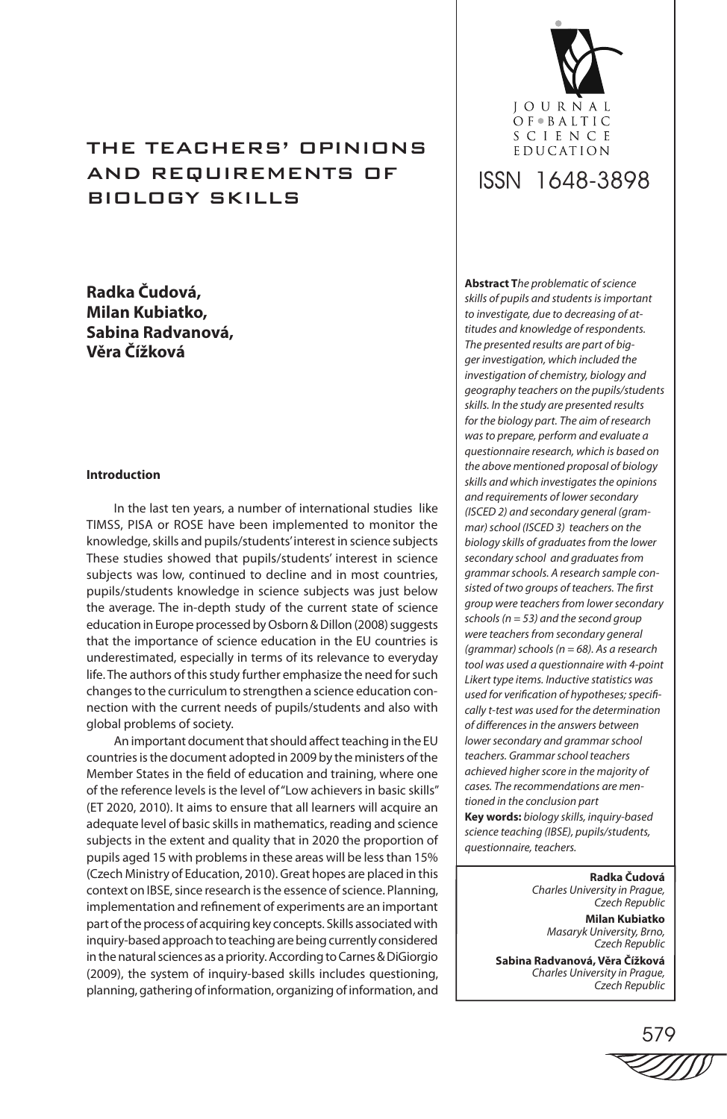# tHE teachers' OPINIONS and requirements OF BIOLOGY SKILLS

# **Radka Čudová, Milan Kubiatko, Sabina Radvanová, Věra Čížková**

# **Introduction**

In the last ten years, a number of international studies like TIMSS, PISA or ROSE have been implemented to monitor the knowledge, skills and pupils/students' interest in science subjects These studies showed that pupils/students' interest in science subjects was low, continued to decline and in most countries, pupils/students knowledge in science subjects was just below the average. The in-depth study of the current state of science education in Europe processed by Osborn & Dillon (2008) suggests that the importance of science education in the EU countries is underestimated, especially in terms of its relevance to everyday life. The authors of this study further emphasize the need for such changes to the curriculum to strengthen a science education connection with the current needs of pupils/students and also with global problems of society.

An important document that should affect teaching in the EU countries is the document adopted in 2009 by the ministers of the Member States in the field of education and training, where one of the reference levels is the level of "Low achievers in basic skills" (ET 2020, 2010). It aims to ensure that all learners will acquire an adequate level of basic skills in mathematics, reading and science subjects in the extent and quality that in 2020 the proportion of pupils aged 15 with problems in these areas will be less than 15% (Czech Ministry of Education, 2010). Great hopes are placed in this context on IBSE, since research is the essence of science. Planning, implementation and refinement of experiments are an important part of the process of acquiring key concepts. Skills associated with inquiry-based approach to teaching are being currently considered in the natural sciences as a priority. According to Carnes & DiGiorgio (2009), the system of inquiry-based skills includes questioning, planning, gathering of information, organizing of information, and



# ISSN 1648-3898

**Abstract T***he problematic of science skills of pupils and students is important to investigate, due to decreasing of attitudes and knowledge of respondents. The presented results are part of bigger investigation, which included the investigation of chemistry, biology and geography teachers on the pupils/students skills. In the study are presented results for the biology part. The aim of research was to prepare, perform and evaluate a questionnaire research, which is based on the above mentioned proposal of biology skills and which investigates the opinions and requirements of lower secondary (ISCED 2) and secondary general (grammar) school (ISCED 3) teachers on the biology skills of graduates from the lower secondary school and graduates from grammar schools. A research sample consisted of two groups of teachers. The first group were teachers from lower secondary schools (n = 53) and the second group were teachers from secondary general (grammar) schools (n = 68). As a research tool was used a questionnaire with 4-point Likert type items. Inductive statistics was used for verification of hypotheses; specifically t-test was used for the determination of differences in the answers between lower secondary and grammar school teachers. Grammar school teachers achieved higher score in the majority of cases. The recommendations are mentioned in the conclusion part* **Key words:** *biology skills, inquiry-based science teaching (IBSE), pupils/students, questionnaire, teachers.*

> **Radka Čudová** *Charles University in Prague, Czech Republic*

**Milan Kubiatko** *Masaryk University, Brno, Czech Republic*

**Sabina Radvanová, Věra Čížková** *Charles University in Prague, Czech Republic*

579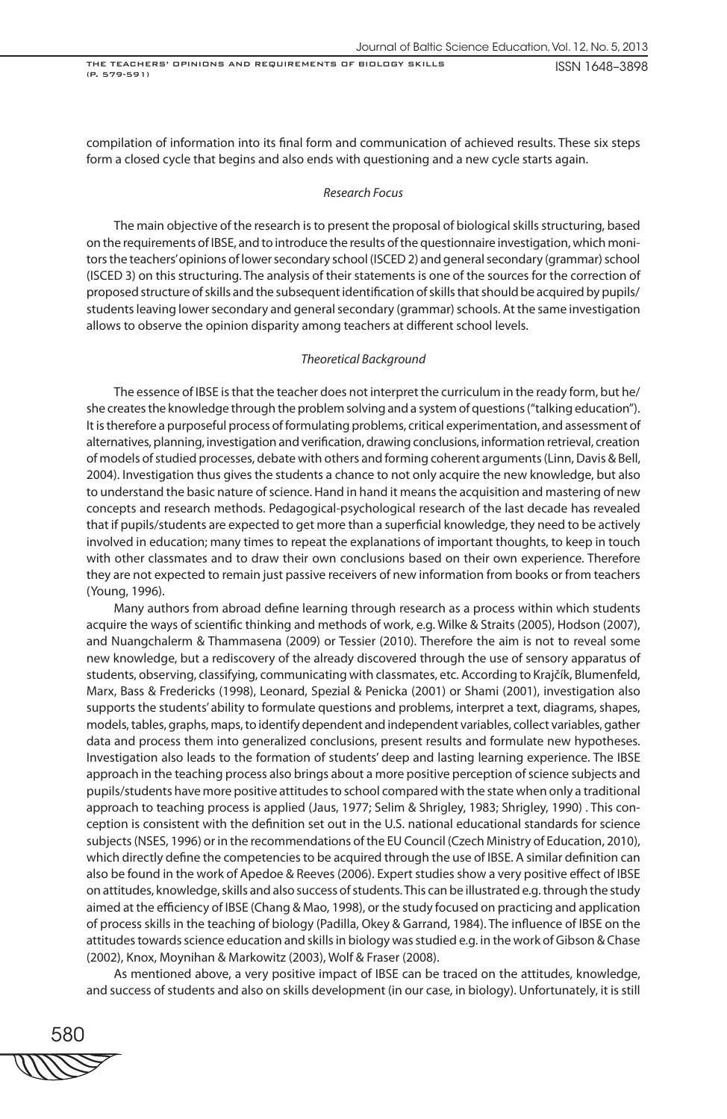compilation of information into its final form and communication of achieved results. These six steps form a closed cycle that begins and also ends with questioning and a new cycle starts again.

#### *Research Focus*

The main objective of the research is to present the proposal of biological skills structuring, based on the requirements of IBSE, and to introduce the results of the questionnaire investigation, which monitors the teachers' opinions of lower secondary school (ISCED 2) and general secondary (grammar) school (ISCED 3) on this structuring. The analysis of their statements is one of the sources for the correction of proposed structure of skills and the subsequent identification of skills that should be acquired by pupils/ students leaving lower secondary and general secondary (grammar) schools. At the same investigation allows to observe the opinion disparity among teachers at different school levels.

#### *Theoretical Background*

The essence of IBSE is that the teacher does not interpret the curriculum in the ready form, but he/ she creates the knowledge through the problem solving and a system of questions ("talking education"). It is therefore a purposeful process of formulating problems, critical experimentation, and assessment of alternatives, planning, investigation and verification, drawing conclusions, information retrieval, creation of models of studied processes, debate with others and forming coherent arguments (Linn, Davis & Bell, 2004). Investigation thus gives the students a chance to not only acquire the new knowledge, but also to understand the basic nature of science. Hand in hand it means the acquisition and mastering of new concepts and research methods. Pedagogical-psychological research of the last decade has revealed that if pupils/students are expected to get more than a superficial knowledge, they need to be actively involved in education; many times to repeat the explanations of important thoughts, to keep in touch with other classmates and to draw their own conclusions based on their own experience. Therefore they are not expected to remain just passive receivers of new information from books or from teachers (Young, 1996).

Many authors from abroad define learning through research as a process within which students acquire the ways of scientific thinking and methods of work, e.g. Wilke & Straits (2005), Hodson (2007), and Nuangchalerm & Thammasena (2009) or Tessier (2010). Therefore the aim is not to reveal some new knowledge, but a rediscovery of the already discovered through the use of sensory apparatus of students, observing, classifying, communicating with classmates, etc. According to Krajčík, Blumenfeld, Marx, Bass & Fredericks (1998), Leonard, Spezial & Penicka (2001) or Shami (2001), investigation also supports the students' ability to formulate questions and problems, interpret a text, diagrams, shapes, models, tables, graphs, maps, to identify dependent and independent variables, collect variables, gather data and process them into generalized conclusions, present results and formulate new hypotheses. Investigation also leads to the formation of students' deep and lasting learning experience. The IBSE approach in the teaching process also brings about a more positive perception of science subjects and pupils/students have more positive attitudes to school compared with the state when only a traditional approach to teaching process is applied (Jaus, 1977; Selim & Shrigley, 1983; Shrigley, 1990) . This conception is consistent with the definition set out in the U.S. national educational standards for science subjects (NSES, 1996) or in the recommendations of the EU Council (Czech Ministry of Education, 2010), which directly define the competencies to be acquired through the use of IBSE. A similar definition can also be found in the work of Apedoe & Reeves (2006). Expert studies show a very positive effect of IBSE on attitudes, knowledge, skills and also success of students. This can be illustrated e.g. through the study aimed at the efficiency of IBSE (Chang & Mao, 1998), or the study focused on practicing and application of process skills in the teaching of biology (Padilla, Okey & Garrand, 1984). The influence of IBSE on the attitudes towards science education and skills in biology was studied e.g. in the work of Gibson & Chase (2002), Knox, Moynihan & Markowitz (2003), Wolf & Fraser (2008).

As mentioned above, a very positive impact of IBSE can be traced on the attitudes, knowledge, and success of students and also on skills development (in our case, in biology). Unfortunately, it is still

580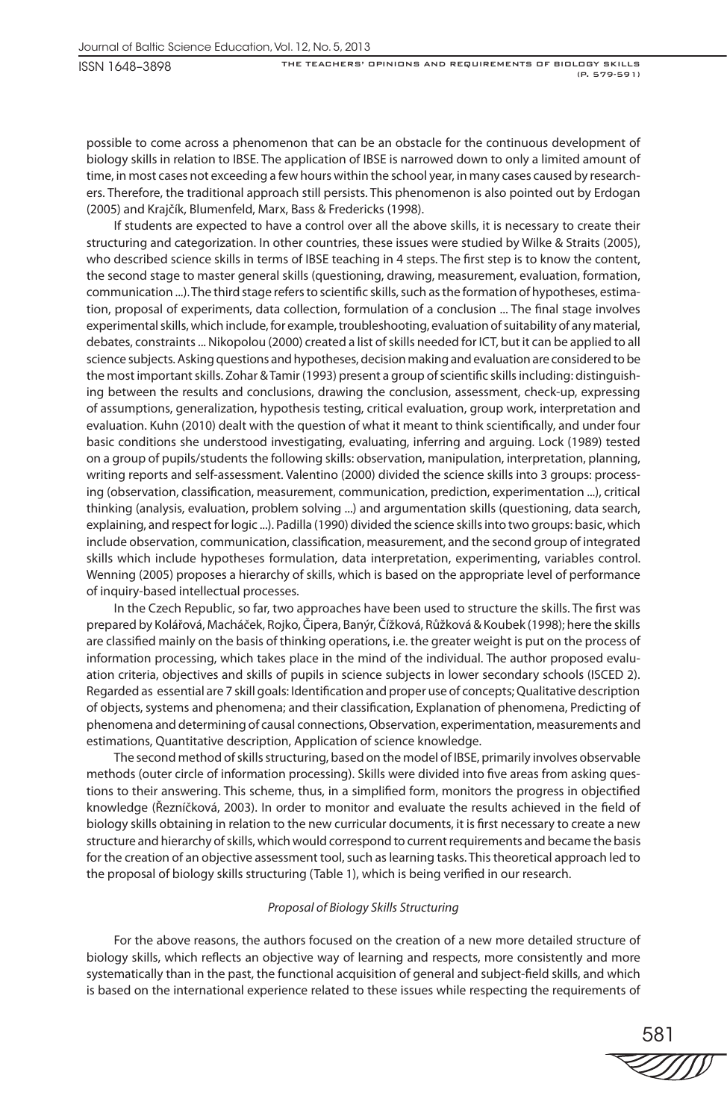possible to come across a phenomenon that can be an obstacle for the continuous development of biology skills in relation to IBSE. The application of IBSE is narrowed down to only a limited amount of time, in most cases not exceeding a few hours within the school year, in many cases caused by researchers. Therefore, the traditional approach still persists. This phenomenon is also pointed out by Erdogan (2005) and Krajčík, Blumenfeld, Marx, Bass & Fredericks (1998).

If students are expected to have a control over all the above skills, it is necessary to create their structuring and categorization. In other countries, these issues were studied by Wilke & Straits (2005), who described science skills in terms of IBSE teaching in 4 steps. The first step is to know the content, the second stage to master general skills (questioning, drawing, measurement, evaluation, formation, communication ...). The third stage refers to scientific skills, such as the formation of hypotheses, estimation, proposal of experiments, data collection, formulation of a conclusion ... The final stage involves experimental skills, which include, for example, troubleshooting, evaluation of suitability of any material, debates, constraints ... Nikopolou (2000) created a list of skills needed for ICT, but it can be applied to all science subjects. Asking questions and hypotheses, decision making and evaluation are considered to be the most important skills. Zohar & Tamir (1993) present a group of scientific skills including: distinguishing between the results and conclusions, drawing the conclusion, assessment, check-up, expressing of assumptions, generalization, hypothesis testing, critical evaluation, group work, interpretation and evaluation. Kuhn (2010) dealt with the question of what it meant to think scientifically, and under four basic conditions she understood investigating, evaluating, inferring and arguing. Lock (1989) tested on a group of pupils/students the following skills: observation, manipulation, interpretation, planning, writing reports and self-assessment. Valentino (2000) divided the science skills into 3 groups: processing (observation, classification, measurement, communication, prediction, experimentation ...), critical thinking (analysis, evaluation, problem solving ...) and argumentation skills (questioning, data search, explaining, and respect for logic ...). Padilla (1990) divided the science skills into two groups: basic, which include observation, communication, classification, measurement, and the second group of integrated skills which include hypotheses formulation, data interpretation, experimenting, variables control. Wenning (2005) proposes a hierarchy of skills, which is based on the appropriate level of performance of inquiry-based intellectual processes.

In the Czech Republic, so far, two approaches have been used to structure the skills. The first was prepared by Kolářová, Macháček, Rojko, Čipera, Banýr, Čížková, Růžková & Koubek (1998); here the skills are classified mainly on the basis of thinking operations, i.e. the greater weight is put on the process of information processing, which takes place in the mind of the individual. The author proposed evaluation criteria, objectives and skills of pupils in science subjects in lower secondary schools (ISCED 2). Regarded as essential are 7 skill goals: Identification and proper use of concepts; Qualitative description of objects, systems and phenomena; and their classification, Explanation of phenomena, Predicting of phenomena and determining of causal connections, Observation, experimentation, measurements and estimations, Quantitative description, Application of science knowledge.

The second method of skills structuring, based on the model of IBSE, primarily involves observable methods (outer circle of information processing). Skills were divided into five areas from asking questions to their answering. This scheme, thus, in a simplified form, monitors the progress in objectified knowledge (Řezníčková, 2003). In order to monitor and evaluate the results achieved in the field of biology skills obtaining in relation to the new curricular documents, it is first necessary to create a new structure and hierarchy of skills, which would correspond to current requirements and became the basis for the creation of an objective assessment tool, such as learning tasks. This theoretical approach led to the proposal of biology skills structuring (Table 1), which is being verified in our research.

# *Proposal of Biology Skills Structuring*

For the above reasons, the authors focused on the creation of a new more detailed structure of biology skills, which reflects an objective way of learning and respects, more consistently and more systematically than in the past, the functional acquisition of general and subject-field skills, and which is based on the international experience related to these issues while respecting the requirements of

581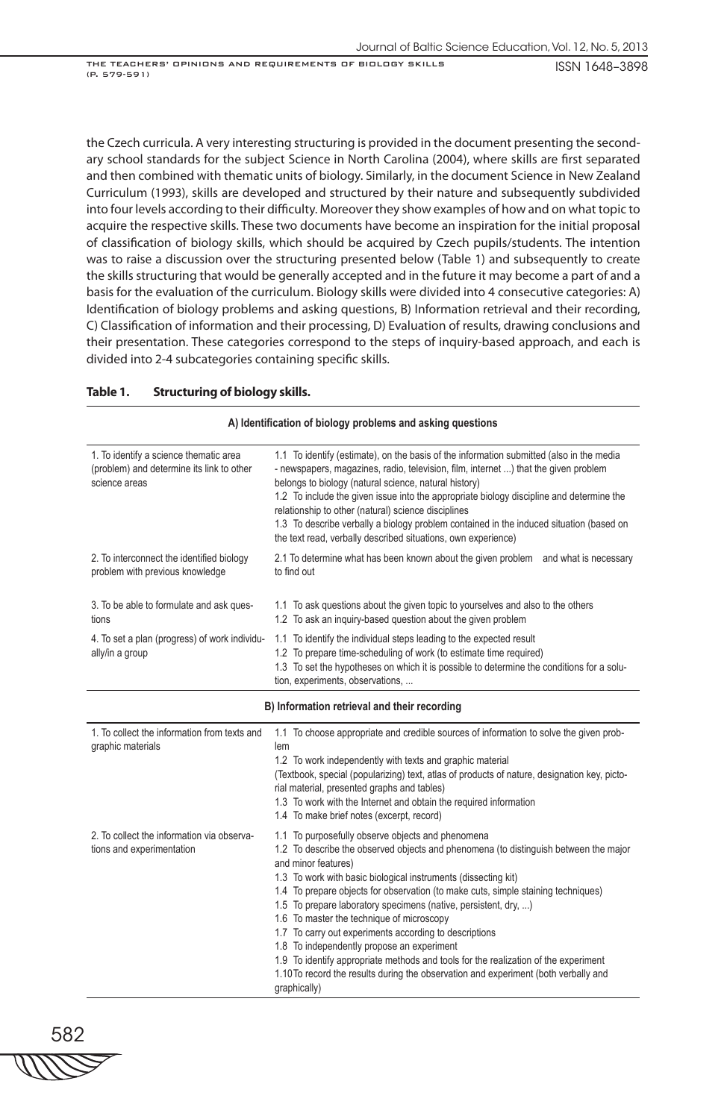ISSN 1648–3898

the Czech curricula. A very interesting structuring is provided in the document presenting the secondary school standards for the subject Science in North Carolina (2004), where skills are first separated and then combined with thematic units of biology. Similarly, in the document Science in New Zealand Curriculum (1993), skills are developed and structured by their nature and subsequently subdivided into four levels according to their difficulty. Moreover they show examples of how and on what topic to acquire the respective skills. These two documents have become an inspiration for the initial proposal of classification of biology skills, which should be acquired by Czech pupils/students. The intention was to raise a discussion over the structuring presented below (Table 1) and subsequently to create the skills structuring that would be generally accepted and in the future it may become a part of and a basis for the evaluation of the curriculum. Biology skills were divided into 4 consecutive categories: A) Identification of biology problems and asking questions, B) Information retrieval and their recording, C) Classification of information and their processing, D) Evaluation of results, drawing conclusions and their presentation. These categories correspond to the steps of inquiry-based approach, and each is divided into 2-4 subcategories containing specific skills.

# **Table 1. Structuring of biology skills.**

| A) Identification of biology problems and asking questions                                           |                                                                                                                                                                                                                                                                                                                                                                                                                                                                                                                                                         |  |
|------------------------------------------------------------------------------------------------------|---------------------------------------------------------------------------------------------------------------------------------------------------------------------------------------------------------------------------------------------------------------------------------------------------------------------------------------------------------------------------------------------------------------------------------------------------------------------------------------------------------------------------------------------------------|--|
| 1. To identify a science thematic area<br>(problem) and determine its link to other<br>science areas | 1.1 To identify (estimate), on the basis of the information submitted (also in the media<br>- newspapers, magazines, radio, television, film, internet ) that the given problem<br>belongs to biology (natural science, natural history)<br>1.2 To include the given issue into the appropriate biology discipline and determine the<br>relationship to other (natural) science disciplines<br>1.3 To describe verbally a biology problem contained in the induced situation (based on<br>the text read, verbally described situations, own experience) |  |
| 2. To interconnect the identified biology<br>problem with previous knowledge                         | 2.1 To determine what has been known about the given problem and what is necessary<br>to find out                                                                                                                                                                                                                                                                                                                                                                                                                                                       |  |
| 3. To be able to formulate and ask ques-<br>tions                                                    | 1.1 To ask questions about the given topic to yourselves and also to the others<br>1.2 To ask an inguiry-based question about the given problem                                                                                                                                                                                                                                                                                                                                                                                                         |  |
| 4. To set a plan (progress) of work individu-<br>ally/in a group                                     | 1.1 To identify the individual steps leading to the expected result<br>1.2 To prepare time-scheduling of work (to estimate time required)<br>1.3 To set the hypotheses on which it is possible to determine the conditions for a solu-<br>tion, experiments, observations,                                                                                                                                                                                                                                                                              |  |

#### **B) Information retrieval and their recording**

| 1. To collect the information from texts and<br>graphic materials       | 1.1 To choose appropriate and credible sources of information to solve the given prob-<br>lem<br>1.2 To work independently with texts and graphic material<br>(Textbook, special (popularizing) text, atlas of products of nature, designation key, picto-<br>rial material, presented graphs and tables)<br>1.3 To work with the Internet and obtain the required information<br>1.4 To make brief notes (excerpt, record)                                                                                                                                                                                                                                                                                                                   |
|-------------------------------------------------------------------------|-----------------------------------------------------------------------------------------------------------------------------------------------------------------------------------------------------------------------------------------------------------------------------------------------------------------------------------------------------------------------------------------------------------------------------------------------------------------------------------------------------------------------------------------------------------------------------------------------------------------------------------------------------------------------------------------------------------------------------------------------|
| 2. To collect the information via observa-<br>tions and experimentation | 1.1 To purposefully observe objects and phenomena<br>1.2 To describe the observed objects and phenomena (to distinguish between the major<br>and minor features)<br>1.3 To work with basic biological instruments (dissecting kit)<br>1.4 To prepare objects for observation (to make cuts, simple staining techniques)<br>1.5 To prepare laboratory specimens (native, persistent, dry, )<br>1.6 To master the technique of microscopy<br>1.7 To carry out experiments according to descriptions<br>1.8 To independently propose an experiment<br>1.9 To identify appropriate methods and tools for the realization of the experiment<br>1.10 To record the results during the observation and experiment (both verbally and<br>qraphically) |

582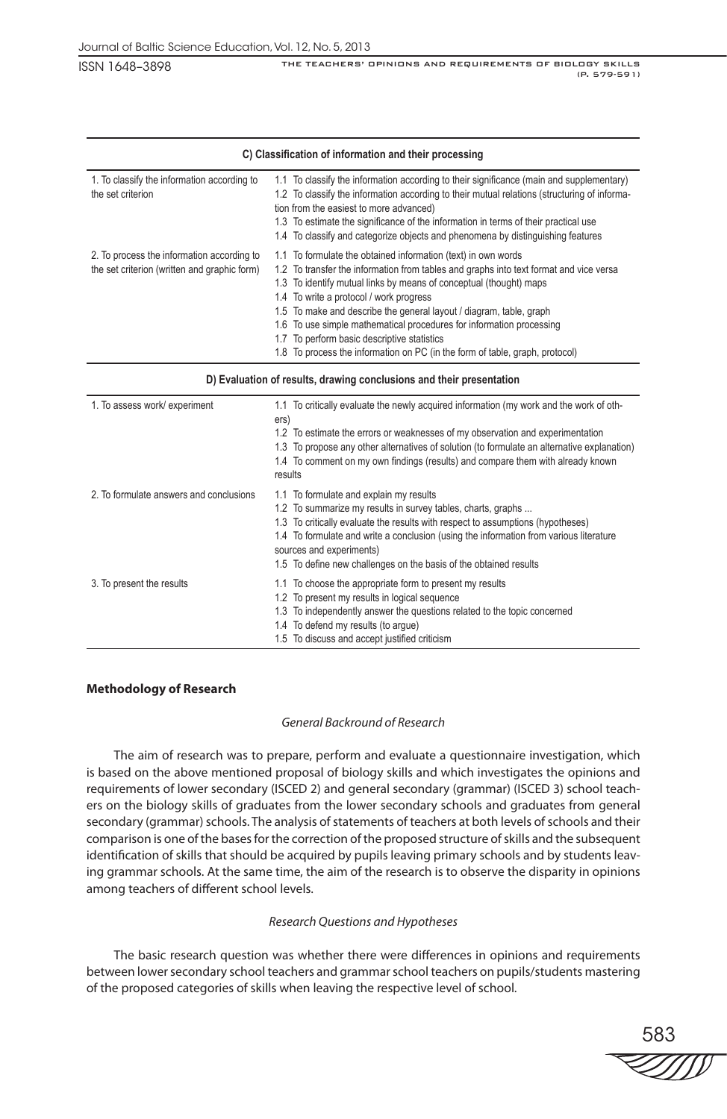| C) Classification of information and their processing                                      |                                                                                                                                                                                                                                                                                                                                                                                                                                                                                                                                                        |  |
|--------------------------------------------------------------------------------------------|--------------------------------------------------------------------------------------------------------------------------------------------------------------------------------------------------------------------------------------------------------------------------------------------------------------------------------------------------------------------------------------------------------------------------------------------------------------------------------------------------------------------------------------------------------|--|
| 1. To classify the information according to<br>the set criterion                           | 1.1 To classify the information according to their significance (main and supplementary)<br>1.2 To classify the information according to their mutual relations (structuring of informa-<br>tion from the easiest to more advanced)<br>1.3 To estimate the significance of the information in terms of their practical use<br>1.4 To classify and categorize objects and phenomena by distinguishing features                                                                                                                                          |  |
| 2. To process the information according to<br>the set criterion (written and graphic form) | 1.1 To formulate the obtained information (text) in own words<br>1.2 To transfer the information from tables and graphs into text format and vice versa<br>1.3 To identify mutual links by means of conceptual (thought) maps<br>1.4 To write a protocol / work progress<br>1.5 To make and describe the general layout / diagram, table, graph<br>1.6 To use simple mathematical procedures for information processing<br>1.7 To perform basic descriptive statistics<br>1.8 To process the information on PC (in the form of table, graph, protocol) |  |

#### **D) Evaluation of results, drawing conclusions and their presentation**

| 1. To assess work/ experiment           | 1.1 To critically evaluate the newly acquired information (my work and the work of oth-<br>ers)<br>1.2 To estimate the errors or weaknesses of my observation and experimentation<br>1.3 To propose any other alternatives of solution (to formulate an alternative explanation)<br>1.4 To comment on my own findings (results) and compare them with already known<br>results        |
|-----------------------------------------|---------------------------------------------------------------------------------------------------------------------------------------------------------------------------------------------------------------------------------------------------------------------------------------------------------------------------------------------------------------------------------------|
| 2. To formulate answers and conclusions | 1.1 To formulate and explain my results<br>1.2 To summarize my results in survey tables, charts, graphs<br>1.3 To critically evaluate the results with respect to assumptions (hypotheses)<br>1.4 To formulate and write a conclusion (using the information from various literature<br>sources and experiments)<br>1.5 To define new challenges on the basis of the obtained results |
| 3. To present the results               | 1.1 To choose the appropriate form to present my results<br>1.2 To present my results in logical sequence<br>1.3 To independently answer the questions related to the topic concerned<br>1.4 To defend my results (to arque)<br>1.5 To discuss and accept justified criticism                                                                                                         |

# **Methodology of Research**

# *General Backround of Research*

The aim of research was to prepare, perform and evaluate a questionnaire investigation, which is based on the above mentioned proposal of biology skills and which investigates the opinions and requirements of lower secondary (ISCED 2) and general secondary (grammar) (ISCED 3) school teachers on the biology skills of graduates from the lower secondary schools and graduates from general secondary (grammar) schools. The analysis of statements of teachers at both levels of schools and their comparison is one of the bases for the correction of the proposed structure of skills and the subsequent identification of skills that should be acquired by pupils leaving primary schools and by students leaving grammar schools. At the same time, the aim of the research is to observe the disparity in opinions among teachers of different school levels.

# *Research Questions and Hypotheses*

The basic research question was whether there were differences in opinions and requirements between lower secondary school teachers and grammar school teachers on pupils/students mastering of the proposed categories of skills when leaving the respective level of school.

583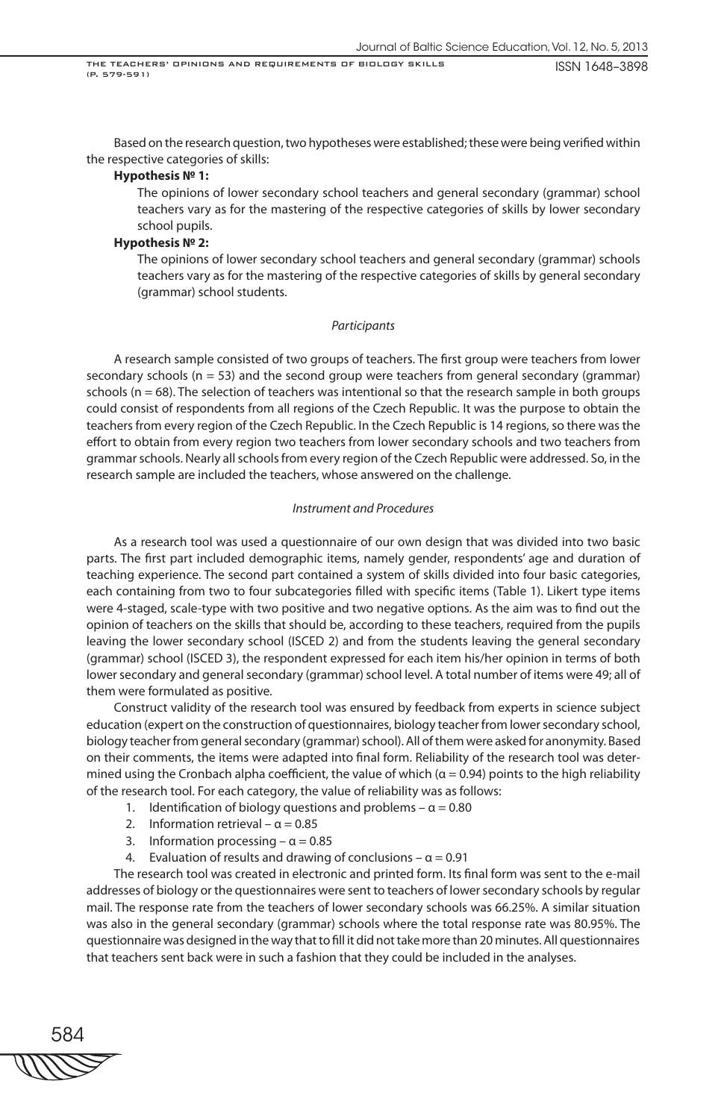Based on the research question, two hypotheses were established; these were being verified within the respective categories of skills:

# **Hypothesis № 1:**

The opinions of lower secondary school teachers and general secondary (grammar) school teachers vary as for the mastering of the respective categories of skills by lower secondary school pupils.

#### **Hypothesis № 2:**

The opinions of lower secondary school teachers and general secondary (grammar) schools teachers vary as for the mastering of the respective categories of skills by general secondary (grammar) school students.

#### *Participants*

A research sample consisted of two groups of teachers. The first group were teachers from lower secondary schools ( $n = 53$ ) and the second group were teachers from general secondary (grammar) schools ( $n = 68$ ). The selection of teachers was intentional so that the research sample in both groups could consist of respondents from all regions of the Czech Republic. It was the purpose to obtain the teachers from every region of the Czech Republic. In the Czech Republic is 14 regions, so there was the effort to obtain from every region two teachers from lower secondary schools and two teachers from grammar schools. Nearly all schools from every region of the Czech Republic were addressed. So, in the research sample are included the teachers, whose answered on the challenge.

#### *Instrument and Procedures*

As a research tool was used a questionnaire of our own design that was divided into two basic parts. The first part included demographic items, namely gender, respondents' age and duration of teaching experience. The second part contained a system of skills divided into four basic categories, each containing from two to four subcategories filled with specific items (Table 1). Likert type items were 4-staged, scale-type with two positive and two negative options. As the aim was to find out the opinion of teachers on the skills that should be, according to these teachers, required from the pupils leaving the lower secondary school (ISCED 2) and from the students leaving the general secondary (grammar) school (ISCED 3), the respondent expressed for each item his/her opinion in terms of both lower secondary and general secondary (grammar) school level. A total number of items were 49; all of them were formulated as positive.

Construct validity of the research tool was ensured by feedback from experts in science subject education (expert on the construction of questionnaires, biology teacher from lower secondary school, biology teacher from general secondary (grammar) school). All of them were asked for anonymity. Based on their comments, the items were adapted into final form. Reliability of the research tool was determined using the Cronbach alpha coefficient, the value of which ( $\alpha$  = 0.94) points to the high reliability of the research tool. For each category, the value of reliability was as follows:

- 1. Identification of biology questions and problems  $\alpha$  = 0.80
- 2. Information retrieval  $\alpha = 0.85$
- 3. Information processing  $\alpha$  = 0.85
- Evaluation of results and drawing of conclusions  $\alpha = 0.91$

The research tool was created in electronic and printed form. Its final form was sent to the e-mail addresses of biology or the questionnaires were sent to teachers of lower secondary schools by regular mail. The response rate from the teachers of lower secondary schools was 66.25%. A similar situation was also in the general secondary (grammar) schools where the total response rate was 80.95%. The questionnaire was designed in the way that to fill it did not take more than 20 minutes. All questionnaires that teachers sent back were in such a fashion that they could be included in the analyses.

584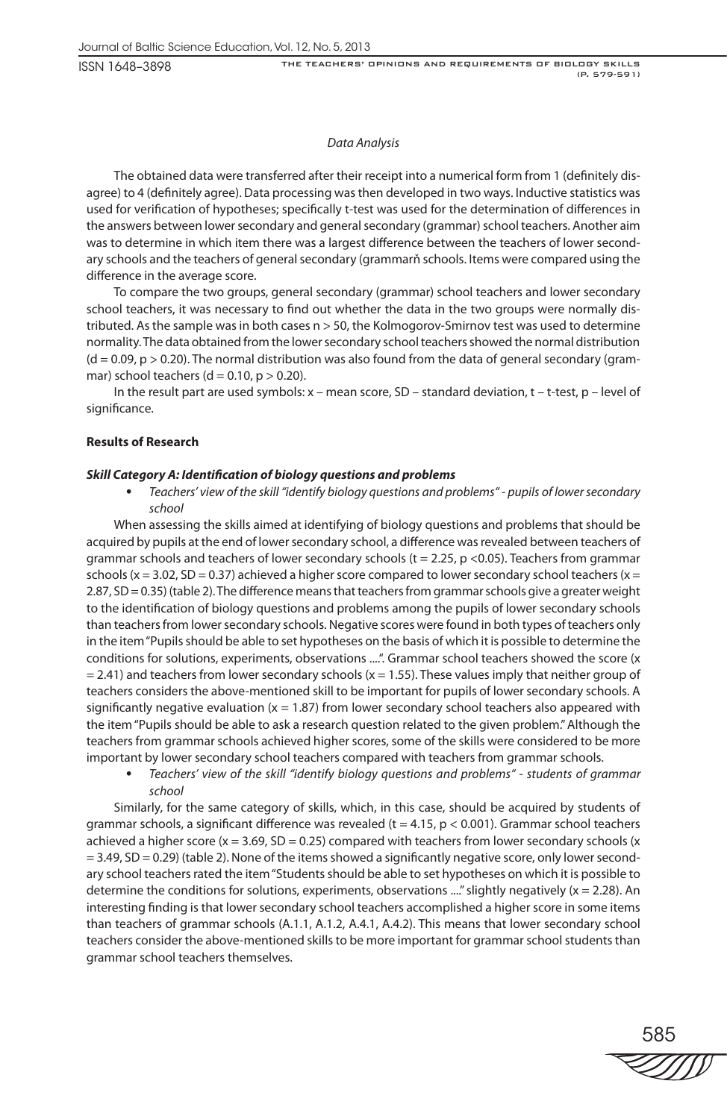# *Data Analysis*

The obtained data were transferred after their receipt into a numerical form from 1 (definitely disagree) to 4 (definitely agree). Data processing was then developed in two ways. Inductive statistics was used for verification of hypotheses; specifically t-test was used for the determination of differences in the answers between lower secondary and general secondary (grammar) school teachers. Another aim was to determine in which item there was a largest difference between the teachers of lower secondary schools and the teachers of general secondary (grammarň schools. Items were compared using the difference in the average score.

To compare the two groups, general secondary (grammar) school teachers and lower secondary school teachers, it was necessary to find out whether the data in the two groups were normally distributed. As the sample was in both cases n > 50, the Kolmogorov-Smirnov test was used to determine normality. The data obtained from the lower secondary school teachers showed the normal distribution  $(d = 0.09, p > 0.20)$ . The normal distribution was also found from the data of general secondary (grammar) school teachers (d = 0.10,  $p > 0.20$ ).

In the result part are used symbols:  $x$  – mean score, SD – standard deviation,  $t$  –  $t$ -test,  $p$  – level of significance.

# **Results of Research**

# *Skill Category A: Identification of biology questions and problems*

• *Teachers' view of the skill "identify biology questions and problems" - pupils of lower secondary school* 

When assessing the skills aimed at identifying of biology questions and problems that should be acquired by pupils at the end of lower secondary school, a difference was revealed between teachers of grammar schools and teachers of lower secondary schools ( $t = 2.25$ ,  $p < 0.05$ ). Teachers from grammar schools ( $x = 3.02$ , SD = 0.37) achieved a higher score compared to lower secondary school teachers ( $x =$ 2.87, SD = 0.35) (table 2). The difference means that teachers from grammar schools give a greater weight to the identification of biology questions and problems among the pupils of lower secondary schools than teachers from lower secondary schools. Negative scores were found in both types of teachers only in the item "Pupils should be able to set hypotheses on the basis of which it is possible to determine the conditions for solutions, experiments, observations ....". Grammar school teachers showed the score (x  $= 2.41$ ) and teachers from lower secondary schools (x = 1.55). These values imply that neither group of teachers considers the above-mentioned skill to be important for pupils of lower secondary schools. A significantly negative evaluation  $(x = 1.87)$  from lower secondary school teachers also appeared with the item "Pupils should be able to ask a research question related to the given problem." Although the teachers from grammar schools achieved higher scores, some of the skills were considered to be more important by lower secondary school teachers compared with teachers from grammar schools.

• *Teachers' view of the skill "identify biology questions and problems" - students of grammar school*

Similarly, for the same category of skills, which, in this case, should be acquired by students of grammar schools, a significant difference was revealed (t = 4.15,  $p$  < 0.001). Grammar school teachers achieved a higher score ( $x = 3.69$ , SD = 0.25) compared with teachers from lower secondary schools ( $x$  $= 3.49$ , SD  $= 0.29$ ) (table 2). None of the items showed a significantly negative score, only lower secondary school teachers rated the item "Students should be able to set hypotheses on which it is possible to determine the conditions for solutions, experiments, observations ...." slightly negatively  $(x = 2.28)$ . An interesting finding is that lower secondary school teachers accomplished a higher score in some items than teachers of grammar schools (A.1.1, A.1.2, A.4.1, A.4.2). This means that lower secondary school teachers consider the above-mentioned skills to be more important for grammar school students than grammar school teachers themselves.

585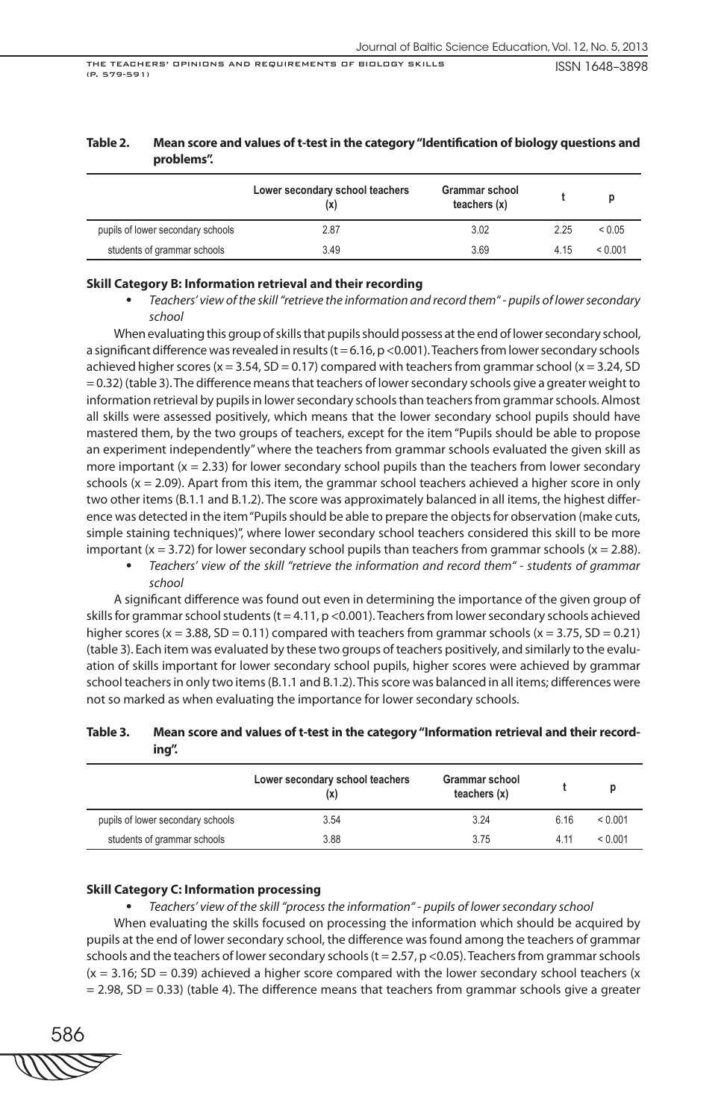| problems". |                                        |                                  | --- |  |
|------------|----------------------------------------|----------------------------------|-----|--|
|            | Lower secondary school teachers<br>(X) | Grammar school<br>teachers $(x)$ |     |  |

pupils of lower secondary schools 2.87 3.02 2.25 < 0.05 students of grammar schools 3.49 3.69 4.15 < 0.001

# **Table 2. Mean score and values of t-test in the category "Identification of biology questions and**

# **Skill Category B: Information retrieval and their recording**

• *Teachers' view of the skill "retrieve the information and record them" - pupils of lower secondary school*

When evaluating this group of skills that pupils should possess at the end of lower secondary school, a significant difference was revealed in results (t = 6.16, p <0.001). Teachers from lower secondary schools achieved higher scores ( $x = 3.54$ ,  $SD = 0.17$ ) compared with teachers from grammar school ( $x = 3.24$ , SD = 0.32) (table 3). The difference means that teachers of lower secondary schools give a greater weight to information retrieval by pupils in lower secondary schools than teachers from grammar schools. Almost all skills were assessed positively, which means that the lower secondary school pupils should have mastered them, by the two groups of teachers, except for the item "Pupils should be able to propose an experiment independently" where the teachers from grammar schools evaluated the given skill as more important  $(x = 2.33)$  for lower secondary school pupils than the teachers from lower secondary schools ( $x = 2.09$ ). Apart from this item, the grammar school teachers achieved a higher score in only two other items (B.1.1 and B.1.2). The score was approximately balanced in all items, the highest difference was detected in the item "Pupils should be able to prepare the objects for observation (make cuts, simple staining techniques)", where lower secondary school teachers considered this skill to be more important (x = 3.72) for lower secondary school pupils than teachers from grammar schools (x = 2.88).

• *Teachers' view of the skill "retrieve the information and record them" - students of grammar school*

A significant difference was found out even in determining the importance of the given group of skills for grammar school students (t = 4.11, p <0.001). Teachers from lower secondary schools achieved higher scores (x = 3.88, SD = 0.11) compared with teachers from grammar schools (x = 3.75, SD = 0.21) (table 3). Each item was evaluated by these two groups of teachers positively, and similarly to the evaluation of skills important for lower secondary school pupils, higher scores were achieved by grammar school teachers in only two items (B.1.1 and B.1.2). This score was balanced in all items; differences were not so marked as when evaluating the importance for lower secondary schools.

# **Table 3. Mean score and values of t-test in the category "Information retrieval and their recording".**

|                                   | Lower secondary school teachers<br>(x) | <b>Grammar school</b><br>teachers $(x)$ |      |         |
|-----------------------------------|----------------------------------------|-----------------------------------------|------|---------|
| pupils of lower secondary schools | 3.54                                   | 3.24                                    | 6.16 | < 0.001 |
| students of grammar schools       | 3.88                                   | 375                                     | 4 11 | < 0.001 |

#### **Skill Category C: Information processing**

• *Teachers' view of the skill "process the information" - pupils of lower secondary school* When evaluating the skills focused on processing the information which should be acquired by pupils at the end of lower secondary school, the difference was found among the teachers of grammar schools and the teachers of lower secondary schools ( $t = 2.57$ ,  $p < 0.05$ ). Teachers from grammar schools  $(x = 3.16; SD = 0.39)$  achieved a higher score compared with the lower secondary school teachers  $(x = 0.39)$  $= 2.98$ , SD  $= 0.33$ ) (table 4). The difference means that teachers from grammar schools give a greater

586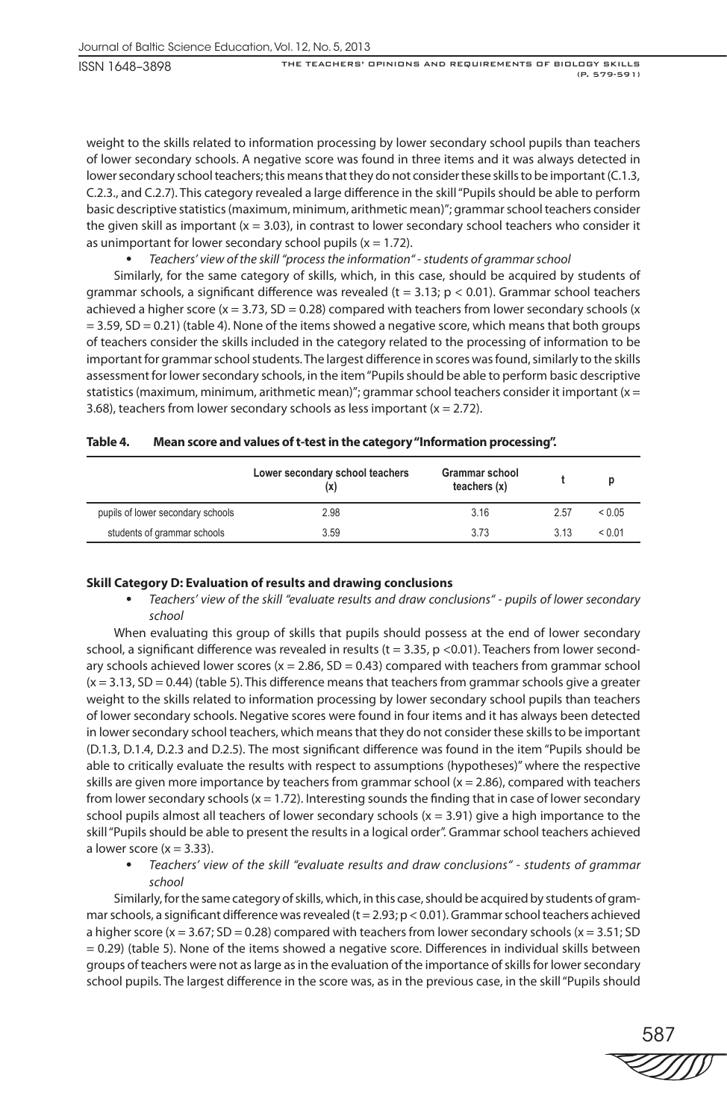weight to the skills related to information processing by lower secondary school pupils than teachers of lower secondary schools. A negative score was found in three items and it was always detected in lower secondary school teachers; this means that they do not consider these skills to be important (C.1.3, C.2.3., and C.2.7). This category revealed a large difference in the skill "Pupils should be able to perform basic descriptive statistics (maximum, minimum, arithmetic mean)"; grammar school teachers consider the given skill as important  $(x = 3.03)$ , in contrast to lower secondary school teachers who consider it as unimportant for lower secondary school pupils ( $x = 1.72$ ).

# • *Teachers' view of the skill "process the information" - students of grammar school*

Similarly, for the same category of skills, which, in this case, should be acquired by students of grammar schools, a significant difference was revealed ( $t = 3.13$ ;  $p < 0.01$ ). Grammar school teachers achieved a higher score (x = 3.73, SD = 0.28) compared with teachers from lower secondary schools (x  $= 3.59$ , SD  $= 0.21$ ) (table 4). None of the items showed a negative score, which means that both groups of teachers consider the skills included in the category related to the processing of information to be important for grammar school students. The largest difference in scores was found, similarly to the skills assessment for lower secondary schools, in the item "Pupils should be able to perform basic descriptive statistics (maximum, minimum, arithmetic mean)"; grammar school teachers consider it important ( $x =$ 3.68), teachers from lower secondary schools as less important ( $x = 2.72$ ).

|                                   | Lower secondary school teachers<br>(X | <b>Grammar school</b><br>teachers $(x)$ |       |        |
|-----------------------------------|---------------------------------------|-----------------------------------------|-------|--------|
| pupils of lower secondary schools | 2.98                                  | 3.16                                    | 2.57  | < 0.05 |
| students of grammar schools       | 3.59                                  | 3.73                                    | 3 1 3 | < 0.01 |

| Table 4. | Mean score and values of t-test in the category "Information processing". |  |  |  |
|----------|---------------------------------------------------------------------------|--|--|--|
|----------|---------------------------------------------------------------------------|--|--|--|

# **Skill Category D: Evaluation of results and drawing conclusions**

• *Teachers' view of the skill "evaluate results and draw conclusions" - pupils of lower secondary school*

When evaluating this group of skills that pupils should possess at the end of lower secondary school, a significant difference was revealed in results ( $t = 3.35$ , p <0.01). Teachers from lower secondary schools achieved lower scores ( $x = 2.86$ , SD = 0.43) compared with teachers from grammar school  $(x = 3.13, SD = 0.44)$  (table 5). This difference means that teachers from grammar schools give a greater weight to the skills related to information processing by lower secondary school pupils than teachers of lower secondary schools. Negative scores were found in four items and it has always been detected in lower secondary school teachers, which means that they do not consider these skills to be important (D.1.3, D.1.4, D.2.3 and D.2.5). The most significant difference was found in the item "Pupils should be able to critically evaluate the results with respect to assumptions (hypotheses)" where the respective skills are given more importance by teachers from grammar school  $(x = 2.86)$ , compared with teachers from lower secondary schools  $(x = 1.72)$ . Interesting sounds the finding that in case of lower secondary school pupils almost all teachers of lower secondary schools  $(x = 3.91)$  give a high importance to the skill "Pupils should be able to present the results in a logical order". Grammar school teachers achieved a lower score  $(x = 3.33)$ .

• *Teachers' view of the skill "evaluate results and draw conclusions" - students of grammar school*

Similarly, for the same category of skills, which, in this case, should be acquired by students of grammar schools, a significant difference was revealed (t = 2.93;  $p < 0.01$ ). Grammar school teachers achieved a higher score (x =  $3.67$ ; SD = 0.28) compared with teachers from lower secondary schools (x =  $3.51$ ; SD = 0.29) (table 5). None of the items showed a negative score. Differences in individual skills between groups of teachers were not as large as in the evaluation of the importance of skills for lower secondary school pupils. The largest difference in the score was, as in the previous case, in the skill "Pupils should

587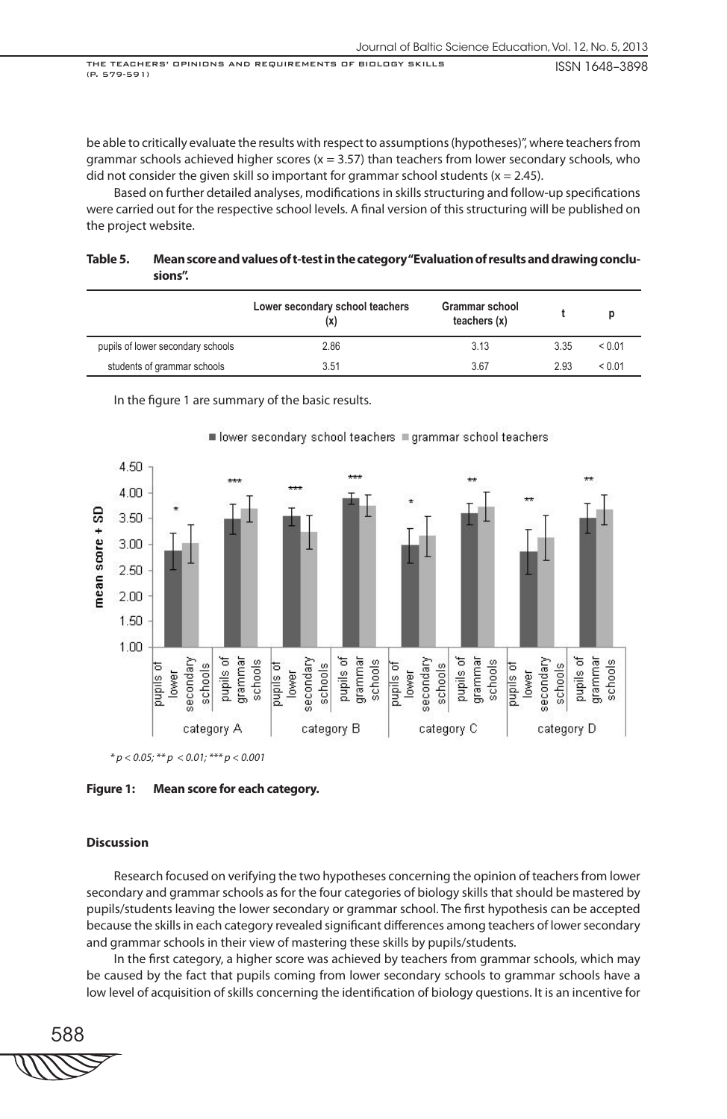be able to critically evaluate the results with respect to assumptions (hypotheses)", where teachers from grammar schools achieved higher scores ( $x = 3.57$ ) than teachers from lower secondary schools, who did not consider the given skill so important for grammar school students ( $x = 2.45$ ).

Based on further detailed analyses, modifications in skills structuring and follow-up specifications were carried out for the respective school levels. A final version of this structuring will be published on the project website.

| Table 5. | Mean score and values of t-test in the category "Evaluation of results and drawing conclu- |
|----------|--------------------------------------------------------------------------------------------|
|          | sions".                                                                                    |

|                                   | Lower secondary school teachers<br>(x) | <b>Grammar school</b><br>teachers $(x)$ |      |            |
|-----------------------------------|----------------------------------------|-----------------------------------------|------|------------|
| pupils of lower secondary schools | 2.86                                   | 3.13                                    | 3.35 | ${}< 0.01$ |
| students of grammar schools       | 3.51                                   | 3.67                                    | 2.93 | ${}< 0.01$ |

In the figure 1 are summary of the basic results.



■ lower secondary school teachers ■ grammar school teachers

*\* p < 0.05; \*\* p < 0.01; \*\*\* p < 0.001*

**Figure 1: Mean score for each category.** 

# **Discussion**

Research focused on verifying the two hypotheses concerning the opinion of teachers from lower secondary and grammar schools as for the four categories of biology skills that should be mastered by pupils/students leaving the lower secondary or grammar school. The first hypothesis can be accepted because the skills in each category revealed significant differences among teachers of lower secondary and grammar schools in their view of mastering these skills by pupils/students.

In the first category, a higher score was achieved by teachers from grammar schools, which may be caused by the fact that pupils coming from lower secondary schools to grammar schools have a low level of acquisition of skills concerning the identification of biology questions. It is an incentive for

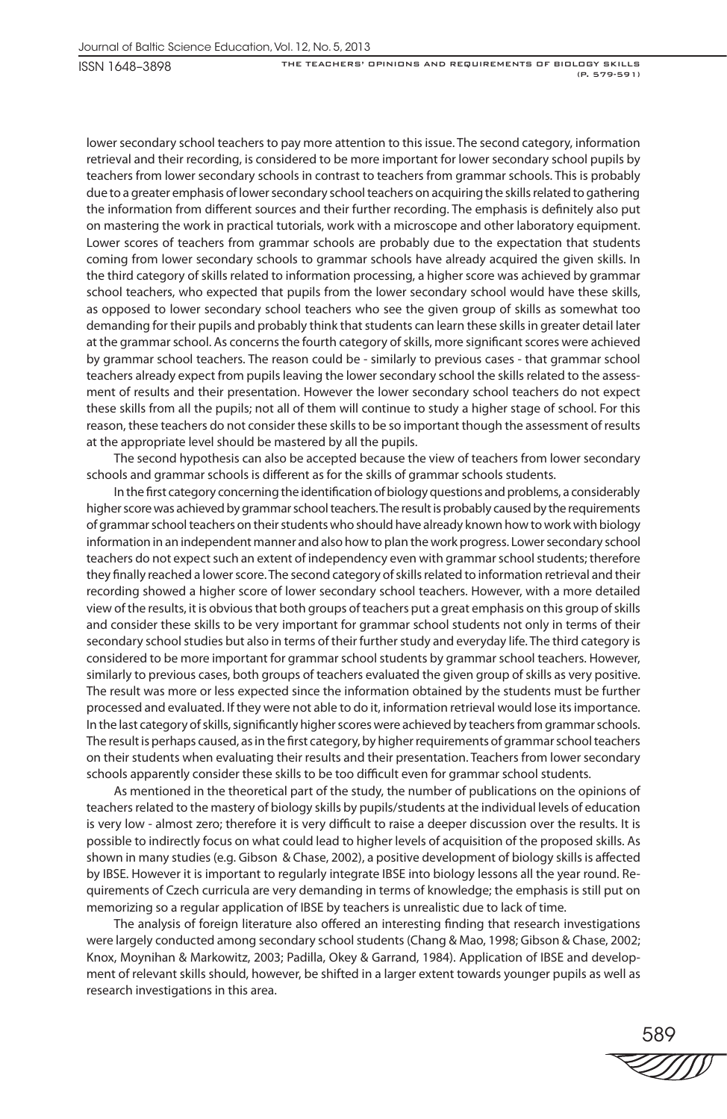lower secondary school teachers to pay more attention to this issue. The second category, information retrieval and their recording, is considered to be more important for lower secondary school pupils by teachers from lower secondary schools in contrast to teachers from grammar schools. This is probably due to a greater emphasis of lower secondary school teachers on acquiring the skills related to gathering the information from different sources and their further recording. The emphasis is definitely also put on mastering the work in practical tutorials, work with a microscope and other laboratory equipment. Lower scores of teachers from grammar schools are probably due to the expectation that students coming from lower secondary schools to grammar schools have already acquired the given skills. In the third category of skills related to information processing, a higher score was achieved by grammar school teachers, who expected that pupils from the lower secondary school would have these skills, as opposed to lower secondary school teachers who see the given group of skills as somewhat too demanding for their pupils and probably think that students can learn these skills in greater detail later at the grammar school. As concerns the fourth category of skills, more significant scores were achieved by grammar school teachers. The reason could be - similarly to previous cases - that grammar school teachers already expect from pupils leaving the lower secondary school the skills related to the assessment of results and their presentation. However the lower secondary school teachers do not expect these skills from all the pupils; not all of them will continue to study a higher stage of school. For this reason, these teachers do not consider these skills to be so important though the assessment of results at the appropriate level should be mastered by all the pupils.

The second hypothesis can also be accepted because the view of teachers from lower secondary schools and grammar schools is different as for the skills of grammar schools students.

In the first category concerning the identification of biology questions and problems, a considerably higher score was achieved by grammar school teachers. The result is probably caused by the requirements of grammar school teachers on their students who should have already known how to work with biology information in an independent manner and also how to plan the work progress. Lower secondary school teachers do not expect such an extent of independency even with grammar school students; therefore they finally reached a lower score. The second category of skills related to information retrieval and their recording showed a higher score of lower secondary school teachers. However, with a more detailed view of the results, it is obvious that both groups of teachers put a great emphasis on this group of skills and consider these skills to be very important for grammar school students not only in terms of their secondary school studies but also in terms of their further study and everyday life. The third category is considered to be more important for grammar school students by grammar school teachers. However, similarly to previous cases, both groups of teachers evaluated the given group of skills as very positive. The result was more or less expected since the information obtained by the students must be further processed and evaluated. If they were not able to do it, information retrieval would lose its importance. In the last category of skills, significantly higher scores were achieved by teachers from grammar schools. The result is perhaps caused, as in the first category, by higher requirements of grammar school teachers on their students when evaluating their results and their presentation. Teachers from lower secondary schools apparently consider these skills to be too difficult even for grammar school students.

As mentioned in the theoretical part of the study, the number of publications on the opinions of teachers related to the mastery of biology skills by pupils/students at the individual levels of education is very low - almost zero; therefore it is very difficult to raise a deeper discussion over the results. It is possible to indirectly focus on what could lead to higher levels of acquisition of the proposed skills. As shown in many studies (e.g. Gibson & Chase, 2002), a positive development of biology skills is affected by IBSE. However it is important to regularly integrate IBSE into biology lessons all the year round. Requirements of Czech curricula are very demanding in terms of knowledge; the emphasis is still put on memorizing so a regular application of IBSE by teachers is unrealistic due to lack of time.

The analysis of foreign literature also offered an interesting finding that research investigations were largely conducted among secondary school students (Chang & Mao, 1998; Gibson & Chase, 2002; Knox, Moynihan & Markowitz, 2003; Padilla, Okey & Garrand, 1984). Application of IBSE and development of relevant skills should, however, be shifted in a larger extent towards younger pupils as well as research investigations in this area.

589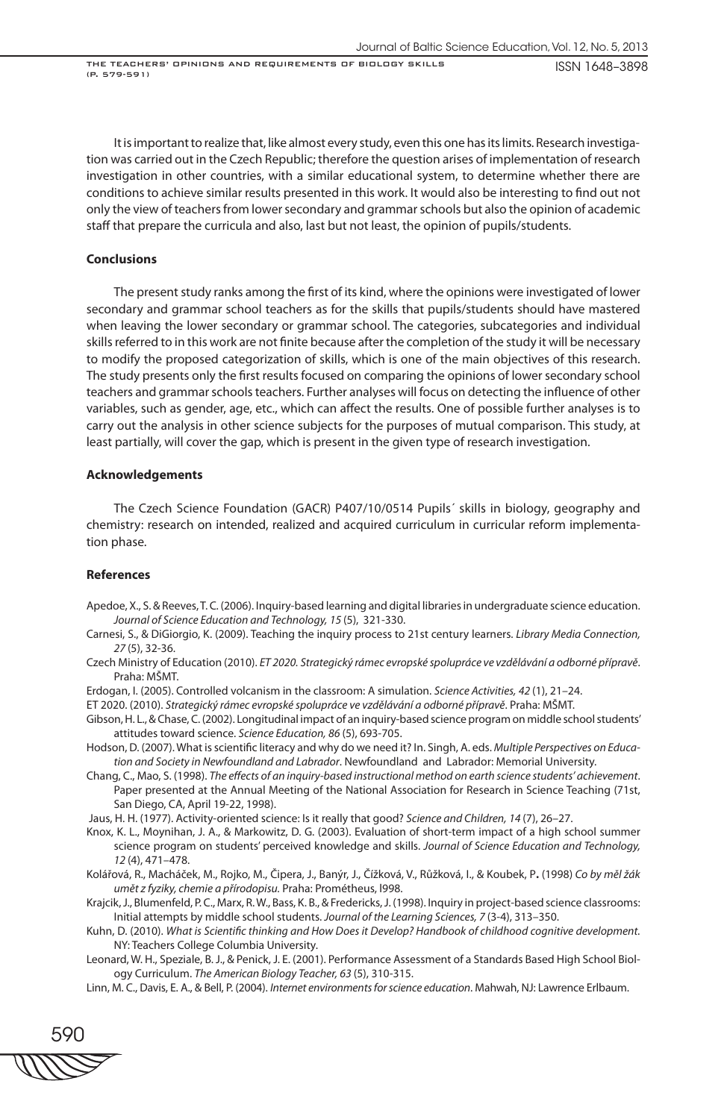It is important to realize that, like almost every study, even this one has its limits. Research investigation was carried out in the Czech Republic; therefore the question arises of implementation of research investigation in other countries, with a similar educational system, to determine whether there are conditions to achieve similar results presented in this work. It would also be interesting to find out not only the view of teachers from lower secondary and grammar schools but also the opinion of academic staff that prepare the curricula and also, last but not least, the opinion of pupils/students.

# **Conclusions**

The present study ranks among the first of its kind, where the opinions were investigated of lower secondary and grammar school teachers as for the skills that pupils/students should have mastered when leaving the lower secondary or grammar school. The categories, subcategories and individual skills referred to in this work are not finite because after the completion of the study it will be necessary to modify the proposed categorization of skills, which is one of the main objectives of this research. The study presents only the first results focused on comparing the opinions of lower secondary school teachers and grammar schools teachers. Further analyses will focus on detecting the influence of other variables, such as gender, age, etc., which can affect the results. One of possible further analyses is to carry out the analysis in other science subjects for the purposes of mutual comparison. This study, at least partially, will cover the gap, which is present in the given type of research investigation.

#### **Acknowledgements**

The Czech Science Foundation (GACR) P407/10/0514 Pupils´ skills in biology, geography and chemistry: research on intended, realized and acquired curriculum in curricular reform implementation phase.

#### **References**

- Apedoe, X., S. & Reeves, T. C*.* (2006). Inquiry-based learning and digital libraries in undergraduate science education. *Journal of Science Education and Technology, 15* (5), 321-330.
- Carnesi, S., & DiGiorgio, K. (2009). Teaching the inquiry process to 21st century learners. *Library Media Connection, 27* (5), 32-36.
- Czech Ministry of Education (2010). *ET 2020. Strategický rámec evropské spolupráce ve vzdělávání a odborné přípravě*. Praha: MŠMT.
- Erdogan, I. (2005). Controlled volcanism in the classroom: A simulation. *Science Activities, 42* (1), 21–24.
- ET 2020. (2010). *Strategický rámec evropské spolupráce ve vzdělávání a odborné přípravě*. Praha: MŠMT.
- Gibson, H. L., & Chase, C. (2002). Longitudinal impact of an inquiry-based science program on middle school students' attitudes toward science. *Science Education, 86* (5), 693-705.
- Hodson, D. (2007). What is scientific literacy and why do we need it? In. Singh, A. eds. *Multiple Perspectives on Education and Society in Newfoundland and Labrador*. Newfoundland and Labrador: Memorial University.
- Chang, C., Mao, S. (1998). *The effects of an inquiry-based instructional method on earth science students' achievement*. Paper presented at the Annual Meeting of the National Association for Research in Science Teaching (71st, San Diego, CA, April 19-22, 1998).
- Jaus, H. H. (1977). Activity-oriented science: Is it really that good? *Science and Children, 14* (7), 26–27.
- Knox, K. L., Moynihan, J. A., & Markowitz, D. G. (2003). Evaluation of short-term impact of a high school summer science program on students' perceived knowledge and skills. *Journal of Science Education and Technology, 12* (4), 471–478.
- Kolářová, R., Macháček, M., Rojko, M., Čipera, J., Banýr, J., Čížková, V., Růžková, I., & Koubek, P**.** (1998) *Co by měl žák umět z fyziky, chemie a přírodopisu.* Praha: Prométheus, l998.
- Krajcik, J., Blumenfeld, P. C., Marx, R. W., Bass, K. B., & Fredericks, J. (1998). Inquiry in project-based science classrooms: Initial attempts by middle school students. *Journal of the Learning Sciences, 7* (3-4), 313–350.
- Kuhn, D. (2010). *What is Scientific thinking and How Does it Develop? Handbook of childhood cognitive development.*  NY: Teachers College Columbia University.
- Leonard, W. H., Speziale, B. J., & Penick, J. E. (2001). Performance Assessment of a Standards Based High School Biology Curriculum. *The American Biology Teacher, 63* (5), 310-315.
- Linn, M. C., Davis, E. A., & Bell, P. (2004). *Internet environments for science education*. Mahwah, NJ: Lawrence Erlbaum.

590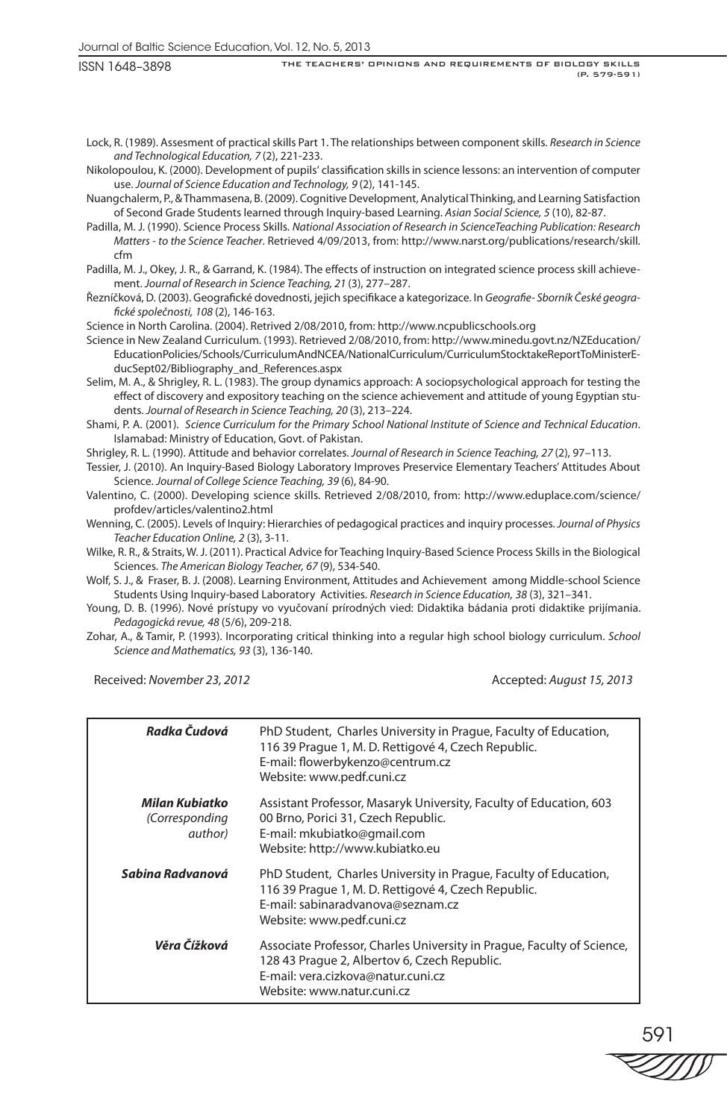Lock, R. (1989). Assesment of practical skills Part 1. The relationships between component skills. *Research in Science and Technological Education, 7* (2), 221-233.

Nikolopoulou, K. (2000). Development of pupils' classification skills in science lessons: an intervention of computer use. *Journal of Science Education and Technology, 9* (2), 141-145.

Nuangchalerm, P., & Thammasena, B. (2009). Cognitive Development, Analytical Thinking, and Learning Satisfaction of Second Grade Students learned through Inquiry-based Learning. *Asian Social Science, 5* (10), 82-87.

Padilla, M. J. (1990). Science Process Skills. *National Association of Research in ScienceTeaching Publication: Research Matters - to the Science Teacher*. Retrieved 4/09/2013, from: http://www.narst.org/publications/research/skill. cfm

Padilla, M. J., Okey, J. R., & Garrand, K. (1984). The effects of instruction on integrated science process skill achievement. *Journal of Research in Science Teaching, 21* (3), 277–287.

Řezníčková, D. (2003). Geografické dovednosti, jejich specifikace a kategorizace. In *Geografie- Sborník České geografické společnosti, 108* (2), 146-163.

Science in North Carolina. (2004). Retrived 2/08/2010, from: http://www.ncpublicschools.org

Science in New Zealand Curriculum. (1993). Retrieved 2/08/2010, from: http://www.minedu.govt.nz/NZEducation/ EducationPolicies/Schools/CurriculumAndNCEA/NationalCurriculum/CurriculumStocktakeReportToMinisterEducSept02/Bibliography\_and\_References.aspx

Selim, M. A., & Shrigley, R. L. (1983). The group dynamics approach: A sociopsychological approach for testing the effect of discovery and expository teaching on the science achievement and attitude of young Egyptian students. *Journal of Research in Science Teaching, 20* (3), 213–224.

Shami, P. A. (2001). *Science Curriculum for the Primary School National Institute of Science and Technical Education*. Islamabad: Ministry of Education, Govt. of Pakistan.

Shrigley, R. L. (1990). Attitude and behavior correlates. *Journal of Research in Science Teaching, 27* (2), 97–113.

Tessier, J. (2010). An Inquiry-Based Biology Laboratory Improves Preservice Elementary Teachers' Attitudes About Science. *Journal of College Science Teaching, 39* (6), 84-90.

Valentino, C. (2000). Developing science skills. Retrieved 2/08/2010, from: http://www.eduplace.com/science/ profdev/articles/valentino2.html

Wenning, C. (2005). Levels of Inquiry: Hierarchies of pedagogical practices and inquiry processes. *Journal of Physics Teacher Education Online, 2* (3), 3-11.

Wilke, R. R., & Straits, W. J. (2011). Practical Advice for Teaching Inquiry-Based Science Process Skills in the Biological Sciences. *The American Biology Teacher, 67* (9), 534-540.

Wolf, S. J., & Fraser, B. J. (2008). Learning Environment, Attitudes and Achievement among Middle-school Science Students Using Inquiry-based Laboratory Activities. *Research in Science Education, 38* (3), 321–341.

Young, D. B. (1996). Nové prístupy vo vyučovaní prírodných vied: Didaktika bádania proti didaktike prijímania. *Pedagogická revue, 48* (5/6), 209-218.

Zohar, A., & Tamir, P. (1993). Incorporating critical thinking into a regular high school biology curriculum. *School Science and Mathematics, 93* (3), 136-140.

Received: *November 23, 2012* Accepted: *August 15, 2013* 

| Radka Čudová                                | PhD Student, Charles University in Prague, Faculty of Education,<br>116 39 Prague 1, M. D. Rettigové 4, Czech Republic.<br>E-mail: flowerbykenzo@centrum.cz<br>Website: www.pedf.cuni.cz   |
|---------------------------------------------|--------------------------------------------------------------------------------------------------------------------------------------------------------------------------------------------|
| Milan Kubiatko<br>(Corresponding<br>author) | Assistant Professor, Masaryk University, Faculty of Education, 603<br>00 Brno, Porici 31, Czech Republic.<br>E-mail: mkubiatko@gmail.com<br>Website: http://www.kubiatko.eu                |
| Sabina Radvanová                            | PhD Student, Charles University in Prague, Faculty of Education,<br>116 39 Prague 1, M. D. Rettigové 4, Czech Republic.<br>E-mail: sabinaradvanova@seznam.cz<br>Website: www.pedf.cuni.cz  |
| Věra Čížková                                | Associate Professor, Charles University in Prague, Faculty of Science,<br>128 43 Prague 2, Albertov 6, Czech Republic.<br>E-mail: vera.cizkova@natur.cuni.cz<br>Website: www.natur.cuni.cz |

591